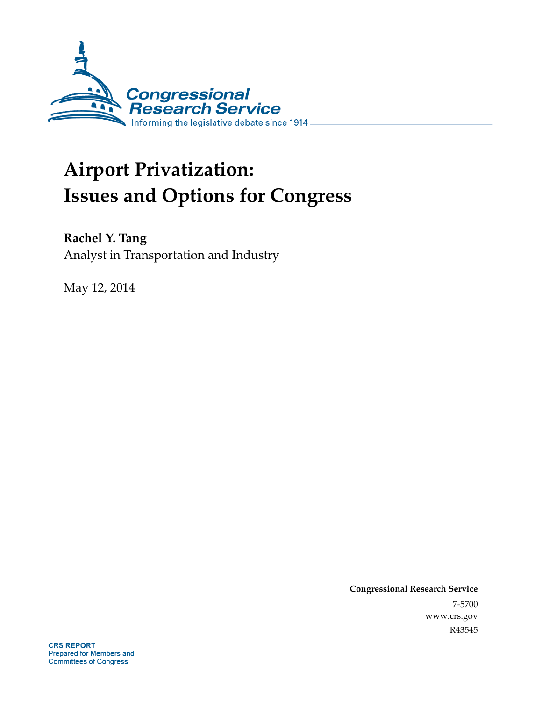

# **Airport Privatization: Issues and Options for Congress**

## **Rachel Y. Tang**

Analyst in Transportation and Industry

May 12, 2014

**Congressional Research Service**  7-5700 www.crs.gov R43545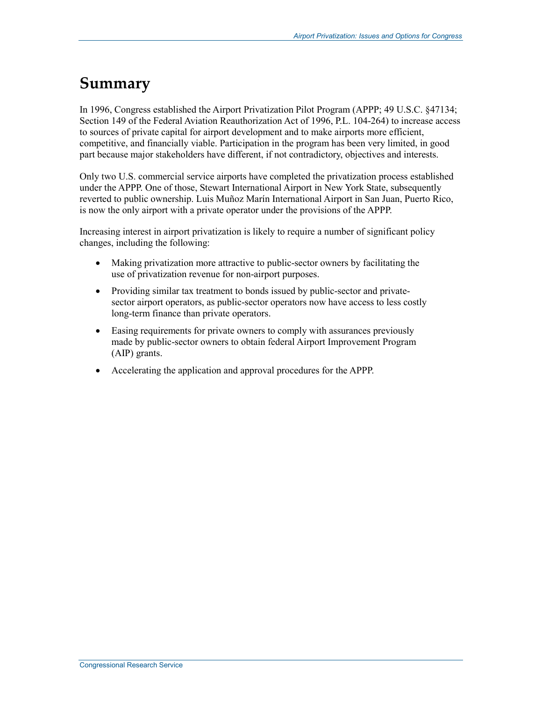## **Summary**

In 1996, Congress established the Airport Privatization Pilot Program (APPP; 49 U.S.C. §47134; Section 149 of the Federal Aviation Reauthorization Act of 1996, P.L. 104-264) to increase access to sources of private capital for airport development and to make airports more efficient, competitive, and financially viable. Participation in the program has been very limited, in good part because major stakeholders have different, if not contradictory, objectives and interests.

Only two U.S. commercial service airports have completed the privatization process established under the APPP. One of those, Stewart International Airport in New York State, subsequently reverted to public ownership. Luis Muñoz Marín International Airport in San Juan, Puerto Rico, is now the only airport with a private operator under the provisions of the APPP.

Increasing interest in airport privatization is likely to require a number of significant policy changes, including the following:

- Making privatization more attractive to public-sector owners by facilitating the use of privatization revenue for non-airport purposes.
- Providing similar tax treatment to bonds issued by public-sector and privatesector airport operators, as public-sector operators now have access to less costly long-term finance than private operators.
- Easing requirements for private owners to comply with assurances previously made by public-sector owners to obtain federal Airport Improvement Program (AIP) grants.
- Accelerating the application and approval procedures for the APPP.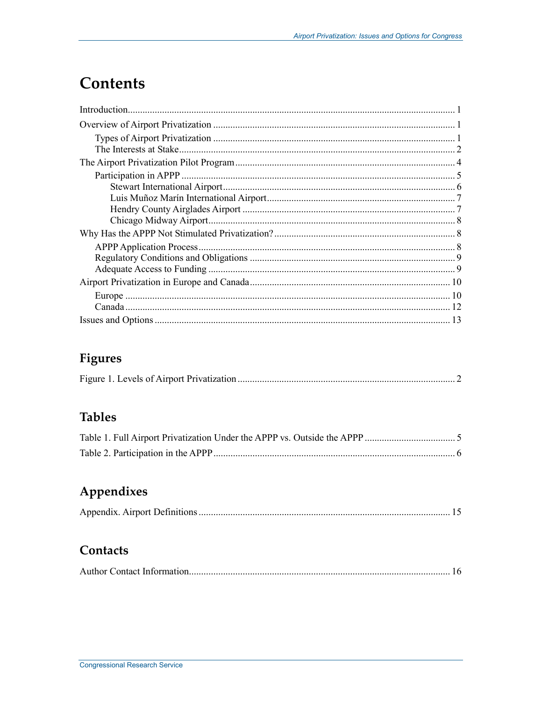## **Contents**

## Figures

|--|--|

### **Tables**

## Appendixes

|--|

### Contacts

|--|--|--|--|--|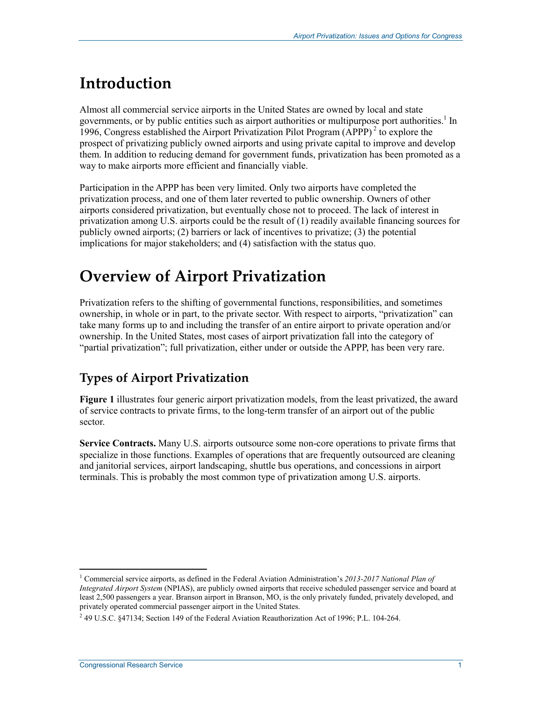## **Introduction**

Almost all commercial service airports in the United States are owned by local and state governments, or by public entities such as airport authorities or multipurpose port authorities.<sup>1</sup> In 1996, Congress established the Airport Privatization Pilot Program  $(APPP)^2$  to explore the prospect of privatizing publicly owned airports and using private capital to improve and develop them. In addition to reducing demand for government funds, privatization has been promoted as a way to make airports more efficient and financially viable.

Participation in the APPP has been very limited. Only two airports have completed the privatization process, and one of them later reverted to public ownership. Owners of other airports considered privatization, but eventually chose not to proceed. The lack of interest in privatization among U.S. airports could be the result of (1) readily available financing sources for publicly owned airports; (2) barriers or lack of incentives to privatize; (3) the potential implications for major stakeholders; and (4) satisfaction with the status quo.

## **Overview of Airport Privatization**

Privatization refers to the shifting of governmental functions, responsibilities, and sometimes ownership, in whole or in part, to the private sector. With respect to airports, "privatization" can take many forms up to and including the transfer of an entire airport to private operation and/or ownership. In the United States, most cases of airport privatization fall into the category of "partial privatization"; full privatization, either under or outside the APPP, has been very rare.

## **Types of Airport Privatization**

**Figure 1** illustrates four generic airport privatization models, from the least privatized, the award of service contracts to private firms, to the long-term transfer of an airport out of the public sector.

**Service Contracts.** Many U.S. airports outsource some non-core operations to private firms that specialize in those functions. Examples of operations that are frequently outsourced are cleaning and janitorial services, airport landscaping, shuttle bus operations, and concessions in airport terminals. This is probably the most common type of privatization among U.S. airports.

<sup>1</sup> <sup>1</sup> Commercial service airports, as defined in the Federal Aviation Administration's 2013-2017 National Plan of *Integrated Airport System* (NPIAS), are publicly owned airports that receive scheduled passenger service and board at least 2,500 passengers a year. Branson airport in Branson, MO, is the only privately funded, privately developed, and privately operated commercial passenger airport in the United States.

 $2^{2}$  49 U.S.C. §47134; Section 149 of the Federal Aviation Reauthorization Act of 1996; P.L. 104-264.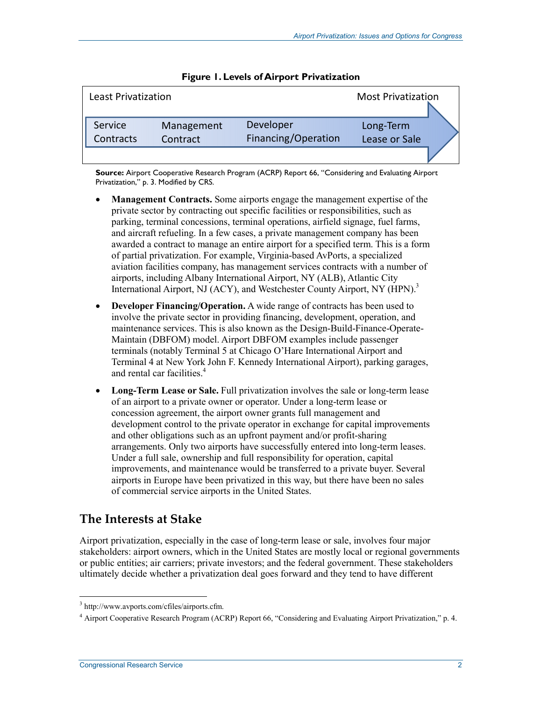| <b>Least Privatization</b> |                        |                                  | <b>Most Privatization</b>  |  |
|----------------------------|------------------------|----------------------------------|----------------------------|--|
| Service<br>Contracts       | Management<br>Contract | Developer<br>Financing/Operation | Long-Term<br>Lease or Sale |  |
|                            |                        |                                  |                            |  |

|  |  |  | Figure 1. Levels of Airport Privatization |
|--|--|--|-------------------------------------------|
|--|--|--|-------------------------------------------|

**Source:** Airport Cooperative Research Program (ACRP) Report 66, "Considering and Evaluating Airport Privatization," p. 3. Modified by CRS.

- **Management Contracts.** Some airports engage the management expertise of the private sector by contracting out specific facilities or responsibilities, such as parking, terminal concessions, terminal operations, airfield signage, fuel farms, and aircraft refueling. In a few cases, a private management company has been awarded a contract to manage an entire airport for a specified term. This is a form of partial privatization. For example, Virginia-based AvPorts, a specialized aviation facilities company, has management services contracts with a number of airports, including Albany International Airport, NY (ALB), Atlantic City International Airport, NJ (ACY), and Westchester County Airport, NY (HPN).<sup>3</sup>
- **Developer Financing/Operation.** A wide range of contracts has been used to involve the private sector in providing financing, development, operation, and maintenance services. This is also known as the Design-Build-Finance-Operate-Maintain (DBFOM) model. Airport DBFOM examples include passenger terminals (notably Terminal 5 at Chicago O'Hare International Airport and Terminal 4 at New York John F. Kennedy International Airport), parking garages, and rental car facilities.<sup>4</sup>
- Long-Term Lease or Sale. Full privatization involves the sale or long-term lease of an airport to a private owner or operator. Under a long-term lease or concession agreement, the airport owner grants full management and development control to the private operator in exchange for capital improvements and other obligations such as an upfront payment and/or profit-sharing arrangements. Only two airports have successfully entered into long-term leases. Under a full sale, ownership and full responsibility for operation, capital improvements, and maintenance would be transferred to a private buyer. Several airports in Europe have been privatized in this way, but there have been no sales of commercial service airports in the United States.

#### **The Interests at Stake**

Airport privatization, especially in the case of long-term lease or sale, involves four major stakeholders: airport owners, which in the United States are mostly local or regional governments or public entities; air carriers; private investors; and the federal government. These stakeholders ultimately decide whether a privatization deal goes forward and they tend to have different

 3 http://www.avports.com/cfiles/airports.cfm.

<sup>4</sup> Airport Cooperative Research Program (ACRP) Report 66, "Considering and Evaluating Airport Privatization," p. 4.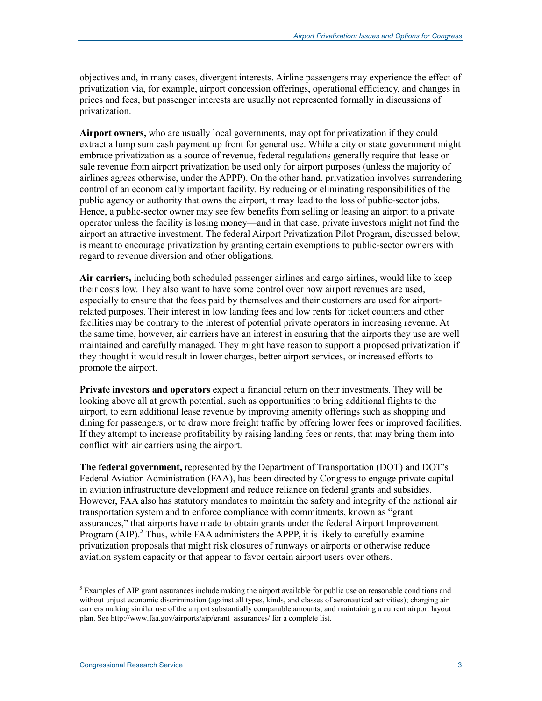objectives and, in many cases, divergent interests. Airline passengers may experience the effect of privatization via, for example, airport concession offerings, operational efficiency, and changes in prices and fees, but passenger interests are usually not represented formally in discussions of privatization.

**Airport owners,** who are usually local governments**,** may opt for privatization if they could extract a lump sum cash payment up front for general use. While a city or state government might embrace privatization as a source of revenue, federal regulations generally require that lease or sale revenue from airport privatization be used only for airport purposes (unless the majority of airlines agrees otherwise, under the APPP). On the other hand, privatization involves surrendering control of an economically important facility. By reducing or eliminating responsibilities of the public agency or authority that owns the airport, it may lead to the loss of public-sector jobs. Hence, a public-sector owner may see few benefits from selling or leasing an airport to a private operator unless the facility is losing money—and in that case, private investors might not find the airport an attractive investment. The federal Airport Privatization Pilot Program, discussed below, is meant to encourage privatization by granting certain exemptions to public-sector owners with regard to revenue diversion and other obligations.

**Air carriers,** including both scheduled passenger airlines and cargo airlines, would like to keep their costs low. They also want to have some control over how airport revenues are used, especially to ensure that the fees paid by themselves and their customers are used for airportrelated purposes. Their interest in low landing fees and low rents for ticket counters and other facilities may be contrary to the interest of potential private operators in increasing revenue. At the same time, however, air carriers have an interest in ensuring that the airports they use are well maintained and carefully managed. They might have reason to support a proposed privatization if they thought it would result in lower charges, better airport services, or increased efforts to promote the airport.

**Private investors and operators** expect a financial return on their investments. They will be looking above all at growth potential, such as opportunities to bring additional flights to the airport, to earn additional lease revenue by improving amenity offerings such as shopping and dining for passengers, or to draw more freight traffic by offering lower fees or improved facilities. If they attempt to increase profitability by raising landing fees or rents, that may bring them into conflict with air carriers using the airport.

**The federal government,** represented by the Department of Transportation (DOT) and DOT's Federal Aviation Administration (FAA), has been directed by Congress to engage private capital in aviation infrastructure development and reduce reliance on federal grants and subsidies. However, FAA also has statutory mandates to maintain the safety and integrity of the national air transportation system and to enforce compliance with commitments, known as "grant assurances," that airports have made to obtain grants under the federal Airport Improvement Program (AIP).<sup>5</sup> Thus, while FAA administers the APPP, it is likely to carefully examine privatization proposals that might risk closures of runways or airports or otherwise reduce aviation system capacity or that appear to favor certain airport users over others.

 $<sup>5</sup>$  Examples of AIP grant assurances include making the airport available for public use on reasonable conditions and</sup> without unjust economic discrimination (against all types, kinds, and classes of aeronautical activities); charging air carriers making similar use of the airport substantially comparable amounts; and maintaining a current airport layout plan. See http://www.faa.gov/airports/aip/grant\_assurances/ for a complete list.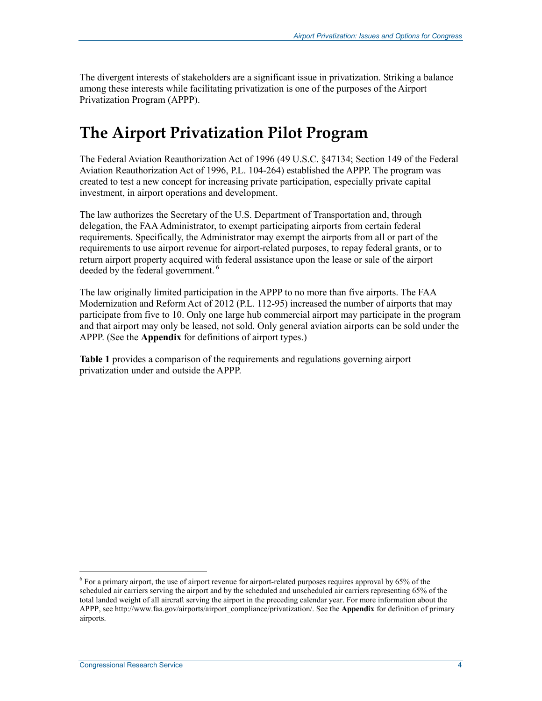The divergent interests of stakeholders are a significant issue in privatization. Striking a balance among these interests while facilitating privatization is one of the purposes of the Airport Privatization Program (APPP).

## **The Airport Privatization Pilot Program**

The Federal Aviation Reauthorization Act of 1996 (49 U.S.C. §47134; Section 149 of the Federal Aviation Reauthorization Act of 1996, P.L. 104-264) established the APPP. The program was created to test a new concept for increasing private participation, especially private capital investment, in airport operations and development.

The law authorizes the Secretary of the U.S. Department of Transportation and, through delegation, the FAA Administrator, to exempt participating airports from certain federal requirements. Specifically, the Administrator may exempt the airports from all or part of the requirements to use airport revenue for airport-related purposes, to repay federal grants, or to return airport property acquired with federal assistance upon the lease or sale of the airport deeded by the federal government. 6

The law originally limited participation in the APPP to no more than five airports. The FAA Modernization and Reform Act of 2012 (P.L. 112-95) increased the number of airports that may participate from five to 10. Only one large hub commercial airport may participate in the program and that airport may only be leased, not sold. Only general aviation airports can be sold under the APPP. (See the **Appendix** for definitions of airport types.)

**Table 1** provides a comparison of the requirements and regulations governing airport privatization under and outside the APPP.

 $6$  For a primary airport, the use of airport revenue for airport-related purposes requires approval by 65% of the scheduled air carriers serving the airport and by the scheduled and unscheduled air carriers representing 65% of the total landed weight of all aircraft serving the airport in the preceding calendar year. For more information about the APPP, see http://www.faa.gov/airports/airport\_compliance/privatization/. See the **Appendix** for definition of primary airports.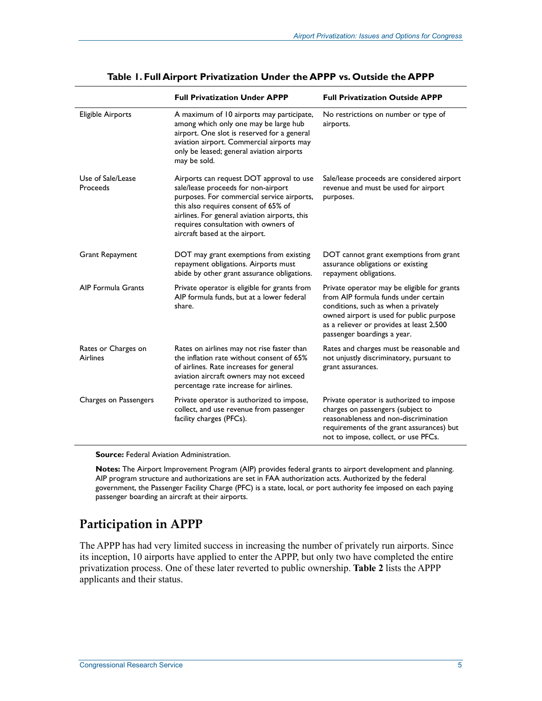|                                        | <b>Full Privatization Under APPP</b>                                                                                                                                                                                                                                                             | <b>Full Privatization Outside APPP</b>                                                                                                                                                                                                             |
|----------------------------------------|--------------------------------------------------------------------------------------------------------------------------------------------------------------------------------------------------------------------------------------------------------------------------------------------------|----------------------------------------------------------------------------------------------------------------------------------------------------------------------------------------------------------------------------------------------------|
| <b>Eligible Airports</b>               | A maximum of 10 airports may participate,<br>among which only one may be large hub<br>airport. One slot is reserved for a general<br>aviation airport. Commercial airports may<br>only be leased; general aviation airports<br>may be sold.                                                      | No restrictions on number or type of<br>airports.                                                                                                                                                                                                  |
| Use of Sale/Lease<br>Proceeds          | Airports can request DOT approval to use<br>sale/lease proceeds for non-airport<br>purposes. For commercial service airports,<br>this also requires consent of 65% of<br>airlines. For general aviation airports, this<br>requires consultation with owners of<br>aircraft based at the airport. | Sale/lease proceeds are considered airport<br>revenue and must be used for airport<br>purposes.                                                                                                                                                    |
| <b>Grant Repayment</b>                 | DOT may grant exemptions from existing<br>repayment obligations. Airports must<br>abide by other grant assurance obligations.                                                                                                                                                                    | DOT cannot grant exemptions from grant<br>assurance obligations or existing<br>repayment obligations.                                                                                                                                              |
| AIP Formula Grants                     | Private operator is eligible for grants from<br>AIP formula funds, but at a lower federal<br>share.                                                                                                                                                                                              | Private operator may be eligible for grants<br>from AIP formula funds under certain<br>conditions, such as when a privately<br>owned airport is used for public purpose<br>as a reliever or provides at least 2,500<br>passenger boardings a year. |
| Rates or Charges on<br><b>Airlines</b> | Rates on airlines may not rise faster than<br>the inflation rate without consent of 65%<br>of airlines. Rate increases for general<br>aviation aircraft owners may not exceed<br>percentage rate increase for airlines.                                                                          | Rates and charges must be reasonable and<br>not unjustly discriminatory, pursuant to<br>grant assurances.                                                                                                                                          |
| Charges on Passengers                  | Private operator is authorized to impose,<br>collect, and use revenue from passenger<br>facility charges (PFCs).                                                                                                                                                                                 | Private operator is authorized to impose<br>charges on passengers (subject to<br>reasonableness and non-discrimination<br>requirements of the grant assurances) but<br>not to impose, collect, or use PFCs.                                        |

#### **Table 1. Full Airport Privatization Under the APPP vs. Outside the APPP**

**Source:** Federal Aviation Administration.

**Notes:** The Airport Improvement Program (AIP) provides federal grants to airport development and planning. AIP program structure and authorizations are set in FAA authorization acts. Authorized by the federal government, the Passenger Facility Charge (PFC) is a state, local, or port authority fee imposed on each paying passenger boarding an aircraft at their airports.

### **Participation in APPP**

The APPP has had very limited success in increasing the number of privately run airports. Since its inception, 10 airports have applied to enter the APPP, but only two have completed the entire privatization process. One of these later reverted to public ownership. **Table 2** lists the APPP applicants and their status.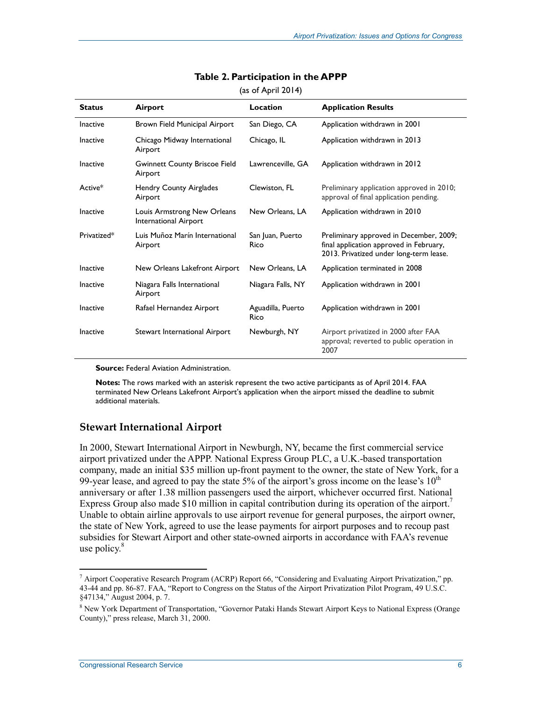| <b>Status</b> | Airport                                              | Location                  | <b>Application Results</b>                                                                                                    |
|---------------|------------------------------------------------------|---------------------------|-------------------------------------------------------------------------------------------------------------------------------|
| Inactive      | Brown Field Municipal Airport                        | San Diego, CA             | Application withdrawn in 2001                                                                                                 |
| Inactive      | Chicago Midway International<br>Airport              | Chicago, IL               | Application withdrawn in 2013                                                                                                 |
| Inactive      | <b>Gwinnett County Briscoe Field</b><br>Airport      | Lawrenceville, GA         | Application withdrawn in 2012                                                                                                 |
| Active*       | Hendry County Airglades<br>Airport                   | Clewiston, FL             | Preliminary application approved in 2010;<br>approval of final application pending.                                           |
| Inactive      | Louis Armstrong New Orleans<br>International Airport | New Orleans, LA           | Application withdrawn in 2010                                                                                                 |
| Privatized*   | Luis Muñoz Marín International<br>Airport            | San Juan, Puerto<br>Rico  | Preliminary approved in December, 2009;<br>final application approved in February,<br>2013. Privatized under long-term lease. |
| Inactive      | New Orleans Lakefront Airport                        | New Orleans, LA           | Application terminated in 2008                                                                                                |
| Inactive      | Niagara Falls International<br>Airport               | Niagara Falls, NY         | Application withdrawn in 2001                                                                                                 |
| Inactive      | Rafael Hernandez Airport                             | Aguadilla, Puerto<br>Rico | Application withdrawn in 2001                                                                                                 |
| Inactive      | Stewart International Airport                        | Newburgh, NY              | Airport privatized in 2000 after FAA<br>approval; reverted to public operation in<br>2007                                     |

#### **Table 2. Participation in the APPP**

(as of April 2014)

**Source:** Federal Aviation Administration.

**Notes:** The rows marked with an asterisk represent the two active participants as of April 2014. FAA terminated New Orleans Lakefront Airport's application when the airport missed the deadline to submit additional materials.

#### **Stewart International Airport**

In 2000, Stewart International Airport in Newburgh, NY, became the first commercial service airport privatized under the APPP. National Express Group PLC, a U.K.-based transportation company, made an initial \$35 million up-front payment to the owner, the state of New York, for a 99-year lease, and agreed to pay the state 5% of the airport's gross income on the lease's  $10<sup>th</sup>$ anniversary or after 1.38 million passengers used the airport, whichever occurred first. National Express Group also made \$10 million in capital contribution during its operation of the airport.<sup>7</sup> Unable to obtain airline approvals to use airport revenue for general purposes, the airport owner, the state of New York, agreed to use the lease payments for airport purposes and to recoup past subsidies for Stewart Airport and other state-owned airports in accordance with FAA's revenue use policy. $8$ 

<sup>&</sup>lt;sup>7</sup> Airport Cooperative Research Program (ACRP) Report 66, "Considering and Evaluating Airport Privatization," pp. 43-44 and pp. 86-87. FAA, "Report to Congress on the Status of the Airport Privatization Pilot Program, 49 U.S.C. §47134," August 2004, p. 7.

<sup>&</sup>lt;sup>8</sup> New York Department of Transportation, "Governor Pataki Hands Stewart Airport Keys to National Express (Orange County)," press release, March 31, 2000.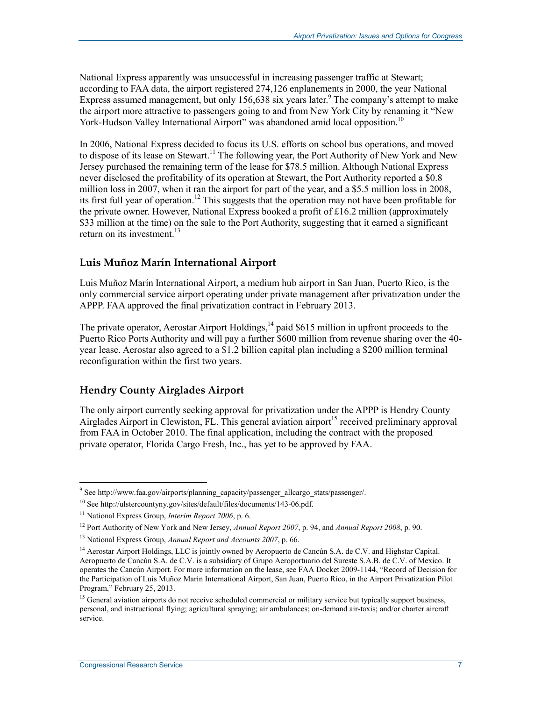National Express apparently was unsuccessful in increasing passenger traffic at Stewart; according to FAA data, the airport registered 274,126 enplanements in 2000, the year National Express assumed management, but only 156,638 six years later.<sup>9</sup> The company's attempt to make the airport more attractive to passengers going to and from New York City by renaming it "New York-Hudson Valley International Airport" was abandoned amid local opposition.<sup>10</sup>

In 2006, National Express decided to focus its U.S. efforts on school bus operations, and moved to dispose of its lease on Stewart.<sup>11</sup> The following year, the Port Authority of New York and New Jersey purchased the remaining term of the lease for \$78.5 million. Although National Express never disclosed the profitability of its operation at Stewart, the Port Authority reported a \$0.8 million loss in 2007, when it ran the airport for part of the year, and a \$5.5 million loss in 2008, its first full year of operation.<sup>12</sup> This suggests that the operation may not have been profitable for the private owner. However, National Express booked a profit of £16.2 million (approximately \$33 million at the time) on the sale to the Port Authority, suggesting that it earned a significant return on its investment. $13$ 

#### **Luis Muñoz Marín International Airport**

Luis Muñoz Marín International Airport, a medium hub airport in San Juan, Puerto Rico, is the only commercial service airport operating under private management after privatization under the APPP. FAA approved the final privatization contract in February 2013.

The private operator, Aerostar Airport Holdings,<sup>14</sup> paid \$615 million in upfront proceeds to the Puerto Rico Ports Authority and will pay a further \$600 million from revenue sharing over the 40 year lease. Aerostar also agreed to a \$1.2 billion capital plan including a \$200 million terminal reconfiguration within the first two years.

#### **Hendry County Airglades Airport**

The only airport currently seeking approval for privatization under the APPP is Hendry County Airglades Airport in Clewiston, FL. This general aviation airport<sup>15</sup> received preliminary approval from FAA in October 2010. The final application, including the contract with the proposed private operator, Florida Cargo Fresh, Inc., has yet to be approved by FAA.

<sup>-&</sup>lt;br><sup>9</sup> See http://www.faa.gov/airports/planning\_capacity/passenger\_allcargo\_stats/passenger/.

<sup>10</sup> See http://ulstercountyny.gov/sites/default/files/documents/143-06.pdf.

<sup>&</sup>lt;sup>11</sup> National Express Group, *Interim Report 2006*, p. 6.

<sup>12</sup> Port Authority of New York and New Jersey, *Annual Report 2007*, p. 94, and *Annual Report 2008*, p. 90.

<sup>13</sup> National Express Group, *Annual Report and Accounts 2007*, p. 66.

<sup>&</sup>lt;sup>14</sup> Aerostar Airport Holdings, LLC is jointly owned by Aeropuerto de Cancún S.A. de C.V. and Highstar Capital. Aeropuerto de Cancún S.A. de C.V. is a subsidiary of Grupo Aeroportuario del Sureste S.A.B. de C.V. of Mexico. It operates the Cancún Airport. For more information on the lease, see FAA Docket 2009-1144, "Record of Decision for the Participation of Luis Muñoz Marín International Airport, San Juan, Puerto Rico, in the Airport Privatization Pilot Program," February 25, 2013.

<sup>&</sup>lt;sup>15</sup> General aviation airports do not receive scheduled commercial or military service but typically support business, personal, and instructional flying; agricultural spraying; air ambulances; on-demand air-taxis; and/or charter aircraft service.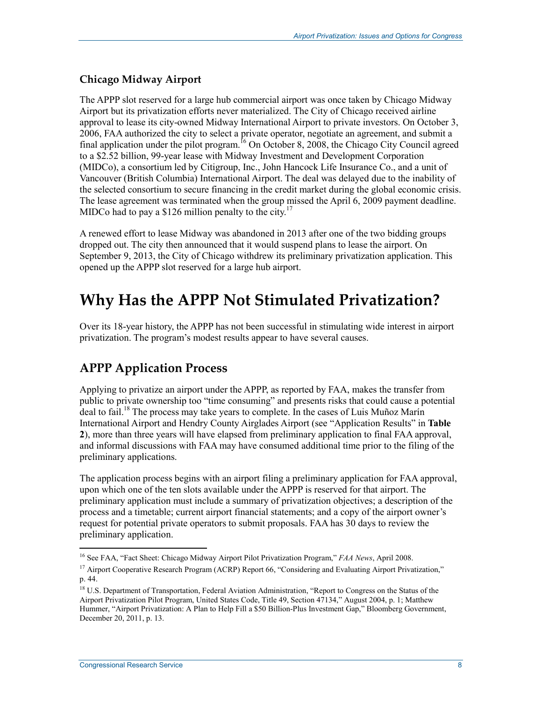#### **Chicago Midway Airport**

The APPP slot reserved for a large hub commercial airport was once taken by Chicago Midway Airport but its privatization efforts never materialized. The City of Chicago received airline approval to lease its city-owned Midway International Airport to private investors. On October 3, 2006, FAA authorized the city to select a private operator, negotiate an agreement, and submit a final application under the pilot program.<sup>16</sup> On October 8, 2008, the Chicago City Council agreed to a \$2.52 billion, 99-year lease with Midway Investment and Development Corporation (MIDCo), a consortium led by Citigroup, Inc., John Hancock Life Insurance Co., and a unit of Vancouver (British Columbia) International Airport. The deal was delayed due to the inability of the selected consortium to secure financing in the credit market during the global economic crisis. The lease agreement was terminated when the group missed the April 6, 2009 payment deadline. MIDCo had to pay a \$126 million penalty to the city.<sup>17</sup>

A renewed effort to lease Midway was abandoned in 2013 after one of the two bidding groups dropped out. The city then announced that it would suspend plans to lease the airport. On September 9, 2013, the City of Chicago withdrew its preliminary privatization application. This opened up the APPP slot reserved for a large hub airport.

## **Why Has the APPP Not Stimulated Privatization?**

Over its 18-year history, the APPP has not been successful in stimulating wide interest in airport privatization. The program's modest results appear to have several causes.

## **APPP Application Process**

Applying to privatize an airport under the APPP, as reported by FAA, makes the transfer from public to private ownership too "time consuming" and presents risks that could cause a potential deal to fail.<sup>18</sup> The process may take years to complete. In the cases of Luis Muñoz Marín International Airport and Hendry County Airglades Airport (see "Application Results" in **Table 2**), more than three years will have elapsed from preliminary application to final FAA approval, and informal discussions with FAA may have consumed additional time prior to the filing of the preliminary applications.

The application process begins with an airport filing a preliminary application for FAA approval, upon which one of the ten slots available under the APPP is reserved for that airport. The preliminary application must include a summary of privatization objectives; a description of the process and a timetable; current airport financial statements; and a copy of the airport owner's request for potential private operators to submit proposals. FAA has 30 days to review the preliminary application.

<sup>16</sup> See FAA, "Fact Sheet: Chicago Midway Airport Pilot Privatization Program," *FAA News*, April 2008.

<sup>&</sup>lt;sup>17</sup> Airport Cooperative Research Program (ACRP) Report 66, "Considering and Evaluating Airport Privatization," p. 44.

<sup>&</sup>lt;sup>18</sup> U.S. Department of Transportation, Federal Aviation Administration, "Report to Congress on the Status of the Airport Privatization Pilot Program, United States Code, Title 49, Section 47134," August 2004, p. 1; Matthew Hummer, "Airport Privatization: A Plan to Help Fill a \$50 Billion-Plus Investment Gap," Bloomberg Government, December 20, 2011, p. 13.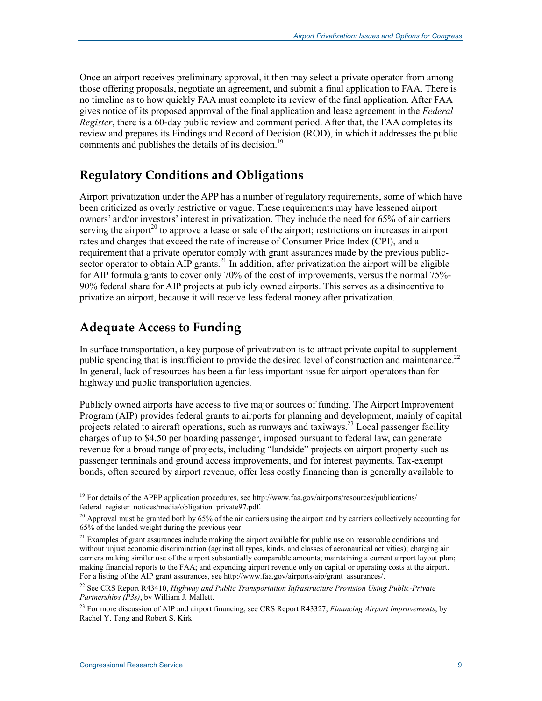Once an airport receives preliminary approval, it then may select a private operator from among those offering proposals, negotiate an agreement, and submit a final application to FAA. There is no timeline as to how quickly FAA must complete its review of the final application. After FAA gives notice of its proposed approval of the final application and lease agreement in the *Federal Register*, there is a 60-day public review and comment period. After that, the FAA completes its review and prepares its Findings and Record of Decision (ROD), in which it addresses the public comments and publishes the details of its decision.<sup>19</sup>

### **Regulatory Conditions and Obligations**

Airport privatization under the APP has a number of regulatory requirements, some of which have been criticized as overly restrictive or vague. These requirements may have lessened airport owners' and/or investors' interest in privatization. They include the need for 65% of air carriers serving the airport<sup>20</sup> to approve a lease or sale of the airport; restrictions on increases in airport rates and charges that exceed the rate of increase of Consumer Price Index (CPI), and a requirement that a private operator comply with grant assurances made by the previous publicsector operator to obtain  $\overline{AIP}$  grants.<sup>21</sup> In addition, after privatization the airport will be eligible for AIP formula grants to cover only 70% of the cost of improvements, versus the normal 75%- 90% federal share for AIP projects at publicly owned airports. This serves as a disincentive to privatize an airport, because it will receive less federal money after privatization.

### **Adequate Access to Funding**

In surface transportation, a key purpose of privatization is to attract private capital to supplement public spending that is insufficient to provide the desired level of construction and maintenance.<sup>22</sup> In general, lack of resources has been a far less important issue for airport operators than for highway and public transportation agencies.

Publicly owned airports have access to five major sources of funding. The Airport Improvement Program (AIP) provides federal grants to airports for planning and development, mainly of capital projects related to aircraft operations, such as runways and taxiways.<sup>23</sup> Local passenger facility charges of up to \$4.50 per boarding passenger, imposed pursuant to federal law, can generate revenue for a broad range of projects, including "landside" projects on airport property such as passenger terminals and ground access improvements, and for interest payments. Tax-exempt bonds, often secured by airport revenue, offer less costly financing than is generally available to

<u>.</u>

<sup>&</sup>lt;sup>19</sup> For details of the APPP application procedures, see http://www.faa.gov/airports/resources/publications/ federal\_register\_notices/media/obligation\_private97.pdf.

<sup>&</sup>lt;sup>20</sup> Approval must be granted both by 65% of the air carriers using the airport and by carriers collectively accounting for 65% of the landed weight during the previous year.

 $21$  Examples of grant assurances include making the airport available for public use on reasonable conditions and without unjust economic discrimination (against all types, kinds, and classes of aeronautical activities); charging air carriers making similar use of the airport substantially comparable amounts; maintaining a current airport layout plan; making financial reports to the FAA; and expending airport revenue only on capital or operating costs at the airport. For a listing of the AIP grant assurances, see http://www.faa.gov/airports/aip/grant\_assurances/.

<sup>22</sup> See CRS Report R43410, *Highway and Public Transportation Infrastructure Provision Using Public-Private Partnerships (P3s)*, by William J. Mallett.

<sup>23</sup> For more discussion of AIP and airport financing, see CRS Report R43327, *Financing Airport Improvements*, by Rachel Y. Tang and Robert S. Kirk.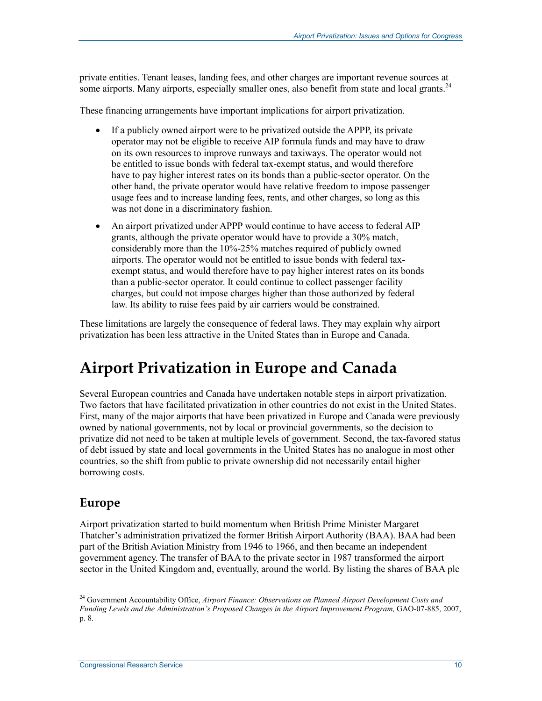private entities. Tenant leases, landing fees, and other charges are important revenue sources at some airports. Many airports, especially smaller ones, also benefit from state and local grants.<sup>24</sup>

These financing arrangements have important implications for airport privatization.

- If a publicly owned airport were to be privatized outside the APPP, its private operator may not be eligible to receive AIP formula funds and may have to draw on its own resources to improve runways and taxiways. The operator would not be entitled to issue bonds with federal tax-exempt status, and would therefore have to pay higher interest rates on its bonds than a public-sector operator. On the other hand, the private operator would have relative freedom to impose passenger usage fees and to increase landing fees, rents, and other charges, so long as this was not done in a discriminatory fashion.
- An airport privatized under APPP would continue to have access to federal AIP grants, although the private operator would have to provide a 30% match, considerably more than the 10%-25% matches required of publicly owned airports. The operator would not be entitled to issue bonds with federal taxexempt status, and would therefore have to pay higher interest rates on its bonds than a public-sector operator. It could continue to collect passenger facility charges, but could not impose charges higher than those authorized by federal law. Its ability to raise fees paid by air carriers would be constrained.

These limitations are largely the consequence of federal laws. They may explain why airport privatization has been less attractive in the United States than in Europe and Canada.

## **Airport Privatization in Europe and Canada**

Several European countries and Canada have undertaken notable steps in airport privatization. Two factors that have facilitated privatization in other countries do not exist in the United States. First, many of the major airports that have been privatized in Europe and Canada were previously owned by national governments, not by local or provincial governments, so the decision to privatize did not need to be taken at multiple levels of government. Second, the tax-favored status of debt issued by state and local governments in the United States has no analogue in most other countries, so the shift from public to private ownership did not necessarily entail higher borrowing costs.

#### **Europe**

1

Airport privatization started to build momentum when British Prime Minister Margaret Thatcher's administration privatized the former British Airport Authority (BAA). BAA had been part of the British Aviation Ministry from 1946 to 1966, and then became an independent government agency. The transfer of BAA to the private sector in 1987 transformed the airport sector in the United Kingdom and, eventually, around the world. By listing the shares of BAA plc

<sup>24</sup> Government Accountability Office, *Airport Finance: Observations on Planned Airport Development Costs and Funding Levels and the Administration's Proposed Changes in the Airport Improvement Program,* GAO-07-885, 2007, p. 8.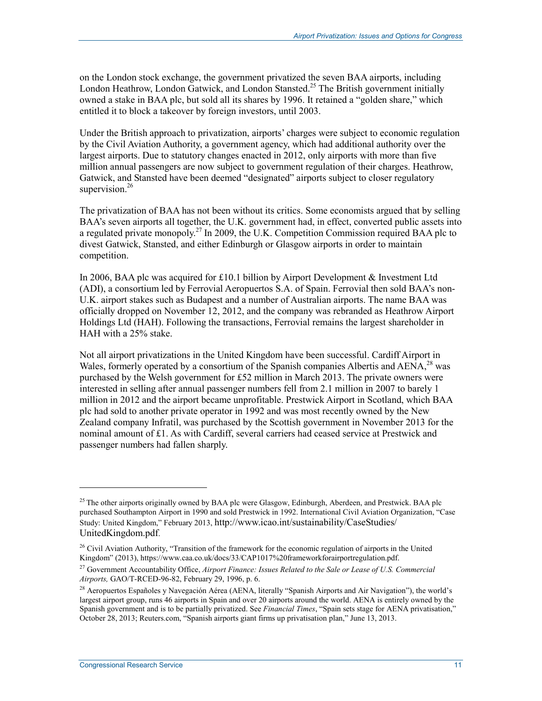on the London stock exchange, the government privatized the seven BAA airports, including London Heathrow, London Gatwick, and London Stansted.<sup>25</sup> The British government initially owned a stake in BAA plc, but sold all its shares by 1996. It retained a "golden share," which entitled it to block a takeover by foreign investors, until 2003.

Under the British approach to privatization, airports' charges were subject to economic regulation by the Civil Aviation Authority, a government agency, which had additional authority over the largest airports. Due to statutory changes enacted in 2012, only airports with more than five million annual passengers are now subject to government regulation of their charges. Heathrow, Gatwick, and Stansted have been deemed "designated" airports subject to closer regulatory supervision.<sup>26</sup>

The privatization of BAA has not been without its critics. Some economists argued that by selling BAA's seven airports all together, the U.K. government had, in effect, converted public assets into a regulated private monopoly.27 In 2009, the U.K. Competition Commission required BAA plc to divest Gatwick, Stansted, and either Edinburgh or Glasgow airports in order to maintain competition.

In 2006, BAA plc was acquired for £10.1 billion by Airport Development & Investment Ltd (ADI), a consortium led by Ferrovial Aeropuertos S.A. of Spain. Ferrovial then sold BAA's non-U.K. airport stakes such as Budapest and a number of Australian airports. The name BAA was officially dropped on November 12, 2012, and the company was rebranded as Heathrow Airport Holdings Ltd (HAH). Following the transactions, Ferrovial remains the largest shareholder in HAH with a 25% stake.

Not all airport privatizations in the United Kingdom have been successful. Cardiff Airport in Wales, formerly operated by a consortium of the Spanish companies Albertis and  $AENA$ <sup>28</sup> was purchased by the Welsh government for £52 million in March 2013. The private owners were interested in selling after annual passenger numbers fell from 2.1 million in 2007 to barely 1 million in 2012 and the airport became unprofitable. Prestwick Airport in Scotland, which BAA plc had sold to another private operator in 1992 and was most recently owned by the New Zealand company Infratil, was purchased by the Scottish government in November 2013 for the nominal amount of £1. As with Cardiff, several carriers had ceased service at Prestwick and passenger numbers had fallen sharply.

<sup>&</sup>lt;sup>25</sup> The other airports originally owned by BAA plc were Glasgow, Edinburgh, Aberdeen, and Prestwick. BAA plc purchased Southampton Airport in 1990 and sold Prestwick in 1992. International Civil Aviation Organization, "Case Study: United Kingdom," February 2013, http://www.icao.int/sustainability/CaseStudies/ UnitedKingdom.pdf.

<sup>&</sup>lt;sup>26</sup> Civil Aviation Authority, "Transition of the framework for the economic regulation of airports in the United Kingdom" (2013), https://www.caa.co.uk/docs/33/CAP1017%20frameworkforairportregulation.pdf.

<sup>27</sup> Government Accountability Office, *Airport Finance: Issues Related to the Sale or Lease of U.S. Commercial Airports,* GAO/T-RCED-96-82, February 29, 1996, p. 6.

<sup>&</sup>lt;sup>28</sup> Aeropuertos Españoles y Navegación Aérea (AENA, literally "Spanish Airports and Air Navigation"), the world's largest airport group, runs 46 airports in Spain and over 20 airports around the world. AENA is entirely owned by the Spanish government and is to be partially privatized. See *Financial Times*, "Spain sets stage for AENA privatisation," October 28, 2013; Reuters.com, "Spanish airports giant firms up privatisation plan," June 13, 2013.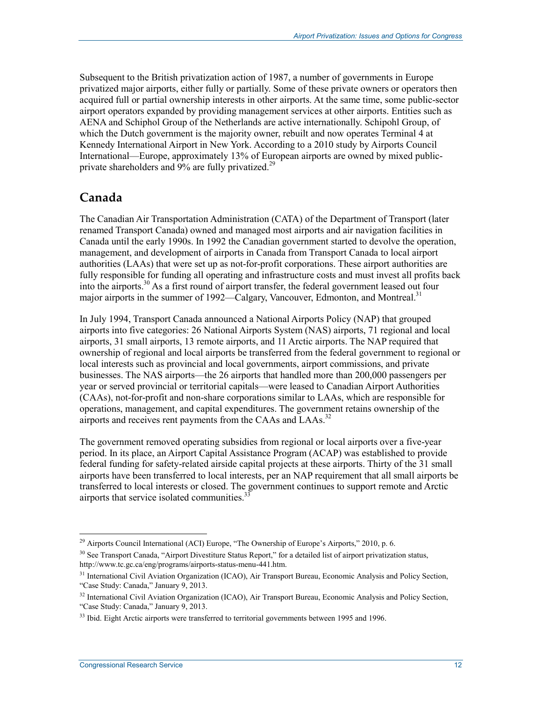Subsequent to the British privatization action of 1987, a number of governments in Europe privatized major airports, either fully or partially. Some of these private owners or operators then acquired full or partial ownership interests in other airports. At the same time, some public-sector airport operators expanded by providing management services at other airports. Entities such as AENA and Schiphol Group of the Netherlands are active internationally. Schipohl Group, of which the Dutch government is the majority owner, rebuilt and now operates Terminal 4 at Kennedy International Airport in New York. According to a 2010 study by Airports Council International—Europe, approximately 13% of European airports are owned by mixed publicprivate shareholders and 9% are fully privatized.<sup>29</sup>

### **Canada**

The Canadian Air Transportation Administration (CATA) of the Department of Transport (later renamed Transport Canada) owned and managed most airports and air navigation facilities in Canada until the early 1990s. In 1992 the Canadian government started to devolve the operation, management, and development of airports in Canada from Transport Canada to local airport authorities (LAAs) that were set up as not-for-profit corporations. These airport authorities are fully responsible for funding all operating and infrastructure costs and must invest all profits back into the airports.<sup>30</sup> As a first round of airport transfer, the federal government leased out four major airports in the summer of 1992—Calgary, Vancouver, Edmonton, and Montreal.<sup>31</sup>

In July 1994, Transport Canada announced a National Airports Policy (NAP) that grouped airports into five categories: 26 National Airports System (NAS) airports, 71 regional and local airports, 31 small airports, 13 remote airports, and 11 Arctic airports. The NAP required that ownership of regional and local airports be transferred from the federal government to regional or local interests such as provincial and local governments, airport commissions, and private businesses. The NAS airports—the 26 airports that handled more than 200,000 passengers per year or served provincial or territorial capitals—were leased to Canadian Airport Authorities (CAAs), not-for-profit and non-share corporations similar to LAAs, which are responsible for operations, management, and capital expenditures. The government retains ownership of the airports and receives rent payments from the CAAs and  $LAAs$ <sup>32</sup>

The government removed operating subsidies from regional or local airports over a five-year period. In its place, an Airport Capital Assistance Program (ACAP) was established to provide federal funding for safety-related airside capital projects at these airports. Thirty of the 31 small airports have been transferred to local interests, per an NAP requirement that all small airports be transferred to local interests or closed. The government continues to support remote and Arctic airports that service isolated communities.<sup>33</sup>

<sup>&</sup>lt;sup>29</sup> Airports Council International (ACI) Europe, "The Ownership of Europe's Airports," 2010, p. 6.

<sup>&</sup>lt;sup>30</sup> See Transport Canada, "Airport Divestiture Status Report," for a detailed list of airport privatization status, http://www.tc.gc.ca/eng/programs/airports-status-menu-441.htm.

<sup>&</sup>lt;sup>31</sup> International Civil Aviation Organization (ICAO), Air Transport Bureau, Economic Analysis and Policy Section, "Case Study: Canada," January 9, 2013.

<sup>&</sup>lt;sup>32</sup> International Civil Aviation Organization (ICAO), Air Transport Bureau, Economic Analysis and Policy Section, "Case Study: Canada," January 9, 2013.

<sup>&</sup>lt;sup>33</sup> Ibid. Eight Arctic airports were transferred to territorial governments between 1995 and 1996.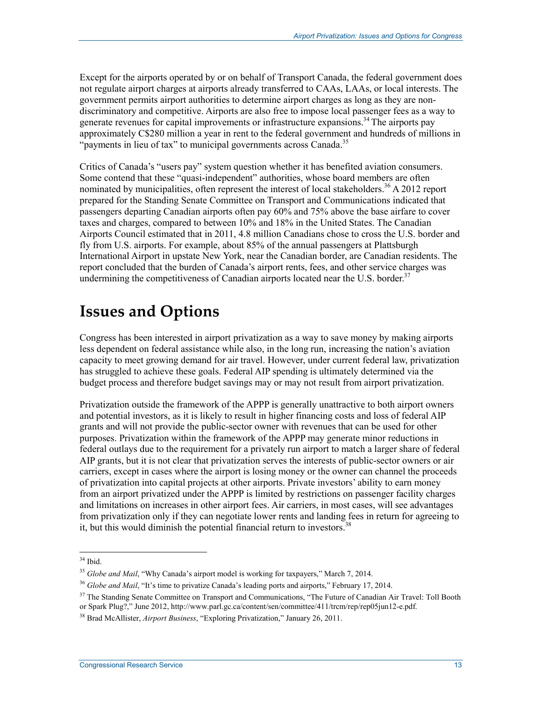Except for the airports operated by or on behalf of Transport Canada, the federal government does not regulate airport charges at airports already transferred to CAAs, LAAs, or local interests. The government permits airport authorities to determine airport charges as long as they are nondiscriminatory and competitive. Airports are also free to impose local passenger fees as a way to generate revenues for capital improvements or infrastructure expansions.<sup>34</sup> The airports pay approximately C\$280 million a year in rent to the federal government and hundreds of millions in "payments in lieu of tax" to municipal governments across Canada.<sup>35</sup>

Critics of Canada's "users pay" system question whether it has benefited aviation consumers. Some contend that these "quasi-independent" authorities, whose board members are often nominated by municipalities, often represent the interest of local stakeholders.<sup>36</sup> A 2012 report prepared for the Standing Senate Committee on Transport and Communications indicated that passengers departing Canadian airports often pay 60% and 75% above the base airfare to cover taxes and charges, compared to between 10% and 18% in the United States. The Canadian Airports Council estimated that in 2011, 4.8 million Canadians chose to cross the U.S. border and fly from U.S. airports. For example, about 85% of the annual passengers at Plattsburgh International Airport in upstate New York, near the Canadian border, are Canadian residents. The report concluded that the burden of Canada's airport rents, fees, and other service charges was undermining the competitiveness of Canadian airports located near the U.S. border.<sup>37</sup>

## **Issues and Options**

Congress has been interested in airport privatization as a way to save money by making airports less dependent on federal assistance while also, in the long run, increasing the nation's aviation capacity to meet growing demand for air travel. However, under current federal law, privatization has struggled to achieve these goals. Federal AIP spending is ultimately determined via the budget process and therefore budget savings may or may not result from airport privatization.

Privatization outside the framework of the APPP is generally unattractive to both airport owners and potential investors, as it is likely to result in higher financing costs and loss of federal AIP grants and will not provide the public-sector owner with revenues that can be used for other purposes. Privatization within the framework of the APPP may generate minor reductions in federal outlays due to the requirement for a privately run airport to match a larger share of federal AIP grants, but it is not clear that privatization serves the interests of public-sector owners or air carriers, except in cases where the airport is losing money or the owner can channel the proceeds of privatization into capital projects at other airports. Private investors' ability to earn money from an airport privatized under the APPP is limited by restrictions on passenger facility charges and limitations on increases in other airport fees. Air carriers, in most cases, will see advantages from privatization only if they can negotiate lower rents and landing fees in return for agreeing to it, but this would diminish the potential financial return to investors.<sup>38</sup>

<sup>1</sup> 34 Ibid.

<sup>&</sup>lt;sup>35</sup> *Globe and Mail*, "Why Canada's airport model is working for taxpayers," March 7, 2014.

<sup>&</sup>lt;sup>36</sup> *Globe and Mail*, "It's time to privatize Canada's leading ports and airports," February 17, 2014.

<sup>&</sup>lt;sup>37</sup> The Standing Senate Committee on Transport and Communications, "The Future of Canadian Air Travel: Toll Booth or Spark Plug?," June 2012, http://www.parl.gc.ca/content/sen/committee/411/trcm/rep/rep05jun12-e.pdf.

<sup>38</sup> Brad McAllister, *Airport Business*, "Exploring Privatization," January 26, 2011.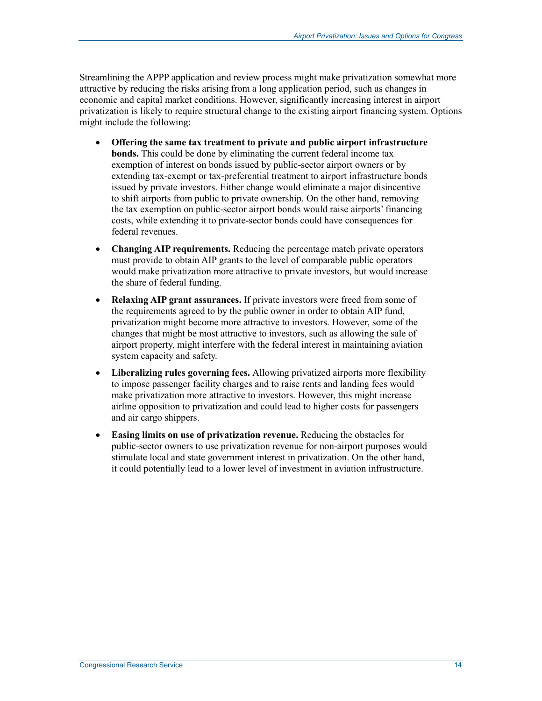Streamlining the APPP application and review process might make privatization somewhat more attractive by reducing the risks arising from a long application period, such as changes in economic and capital market conditions. However, significantly increasing interest in airport privatization is likely to require structural change to the existing airport financing system. Options might include the following:

- **Offering the same tax treatment to private and public airport infrastructure bonds.** This could be done by eliminating the current federal income tax exemption of interest on bonds issued by public-sector airport owners or by extending tax-exempt or tax-preferential treatment to airport infrastructure bonds issued by private investors. Either change would eliminate a major disincentive to shift airports from public to private ownership. On the other hand, removing the tax exemption on public-sector airport bonds would raise airports' financing costs, while extending it to private-sector bonds could have consequences for federal revenues.
- **Changing AIP requirements.** Reducing the percentage match private operators must provide to obtain AIP grants to the level of comparable public operators would make privatization more attractive to private investors, but would increase the share of federal funding.
- **Relaxing AIP grant assurances.** If private investors were freed from some of the requirements agreed to by the public owner in order to obtain AIP fund, privatization might become more attractive to investors. However, some of the changes that might be most attractive to investors, such as allowing the sale of airport property, might interfere with the federal interest in maintaining aviation system capacity and safety.
- **Liberalizing rules governing fees.** Allowing privatized airports more flexibility to impose passenger facility charges and to raise rents and landing fees would make privatization more attractive to investors. However, this might increase airline opposition to privatization and could lead to higher costs for passengers and air cargo shippers.
- **Easing limits on use of privatization revenue.** Reducing the obstacles for public-sector owners to use privatization revenue for non-airport purposes would stimulate local and state government interest in privatization. On the other hand, it could potentially lead to a lower level of investment in aviation infrastructure.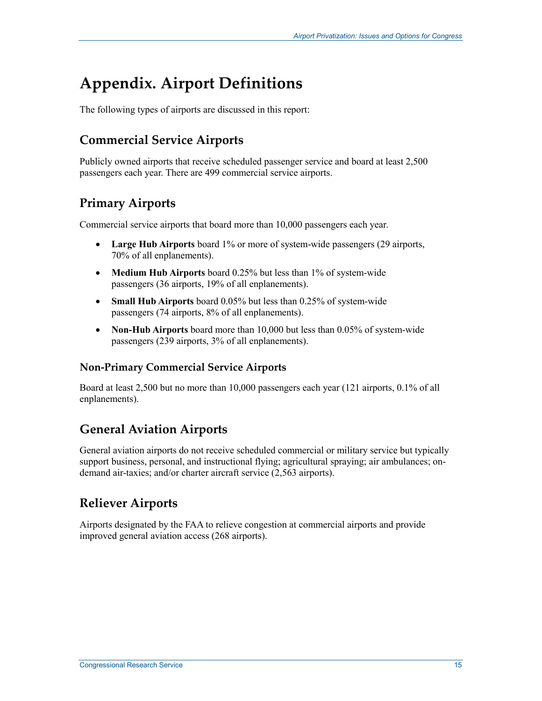## **Appendix. Airport Definitions**

The following types of airports are discussed in this report:

### **Commercial Service Airports**

Publicly owned airports that receive scheduled passenger service and board at least 2,500 passengers each year. There are 499 commercial service airports.

## **Primary Airports**

Commercial service airports that board more than 10,000 passengers each year.

- **Large Hub Airports** board 1% or more of system-wide passengers (29 airports, 70% of all enplanements).
- **Medium Hub Airports** board 0.25% but less than 1% of system-wide passengers (36 airports, 19% of all enplanements).
- **Small Hub Airports** board 0.05% but less than 0.25% of system-wide passengers (74 airports, 8% of all enplanements).
- **Non-Hub Airports** board more than 10,000 but less than 0.05% of system-wide passengers (239 airports, 3% of all enplanements).

#### **Non-Primary Commercial Service Airports**

Board at least 2,500 but no more than 10,000 passengers each year (121 airports, 0.1% of all enplanements).

### **General Aviation Airports**

General aviation airports do not receive scheduled commercial or military service but typically support business, personal, and instructional flying; agricultural spraying; air ambulances; ondemand air-taxies; and/or charter aircraft service (2,563 airports).

### **Reliever Airports**

Airports designated by the FAA to relieve congestion at commercial airports and provide improved general aviation access (268 airports).